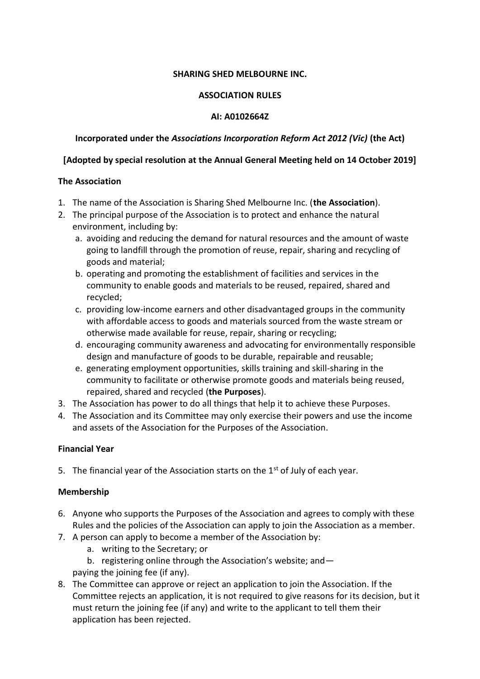### **SHARING SHED MELBOURNE INC.**

#### **ASSOCIATION RULES**

### **AI: A0102664Z**

### **Incorporated under the** *Associations Incorporation Reform Act 2012 (Vic)* **(the Act)**

### **[Adopted by special resolution at the Annual General Meeting held on 14 October 2019]**

### **The Association**

- 1. The name of the Association is Sharing Shed Melbourne Inc. (**the Association**).
- 2. The principal purpose of the Association is to protect and enhance the natural environment, including by:
	- a. avoiding and reducing the demand for natural resources and the amount of waste going to landfill through the promotion of reuse, repair, sharing and recycling of goods and material;
	- b. operating and promoting the establishment of facilities and services in the community to enable goods and materials to be reused, repaired, shared and recycled;
	- c. providing low-income earners and other disadvantaged groups in the community with affordable access to goods and materials sourced from the waste stream or otherwise made available for reuse, repair, sharing or recycling;
	- d. encouraging community awareness and advocating for environmentally responsible design and manufacture of goods to be durable, repairable and reusable;
	- e. generating employment opportunities, skills training and skill-sharing in the community to facilitate or otherwise promote goods and materials being reused, repaired, shared and recycled (**the Purposes**).
- 3. The Association has power to do all things that help it to achieve these Purposes.
- 4. The Association and its Committee may only exercise their powers and use the income and assets of the Association for the Purposes of the Association.

## **Financial Year**

5. The financial year of the Association starts on the  $1<sup>st</sup>$  of July of each year.

## **Membership**

- 6. Anyone who supports the Purposes of the Association and agrees to comply with these Rules and the policies of the Association can apply to join the Association as a member.
- 7. A person can apply to become a member of the Association by:
	- a. writing to the Secretary; or
	- b. registering online through the Association's website; and—
	- paying the joining fee (if any).
- 8. The Committee can approve or reject an application to join the Association. If the Committee rejects an application, it is not required to give reasons for its decision, but it must return the joining fee (if any) and write to the applicant to tell them their application has been rejected.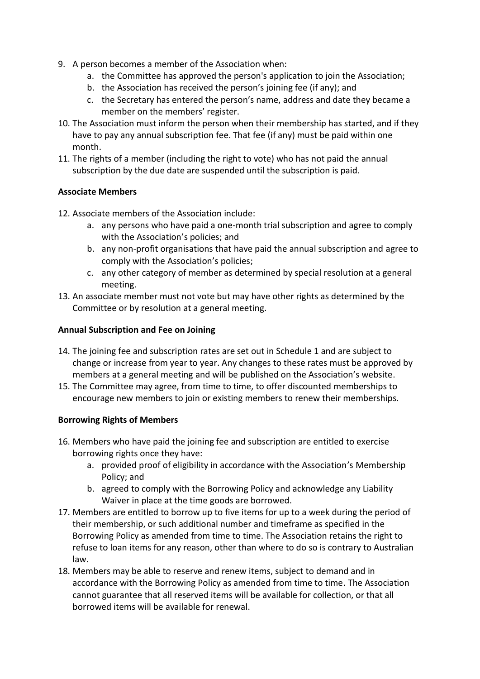- 9. A person becomes a member of the Association when:
	- a. the Committee has approved the person's application to join the Association;
	- b. the Association has received the person's joining fee (if any); and
	- c. the Secretary has entered the person's name, address and date they became a member on the members' register.
- 10. The Association must inform the person when their membership has started, and if they have to pay any annual subscription fee. That fee (if any) must be paid within one month.
- 11. The rights of a member (including the right to vote) who has not paid the annual subscription by the due date are suspended until the subscription is paid.

## **Associate Members**

- 12. Associate members of the Association include:
	- a. any persons who have paid a one-month trial subscription and agree to comply with the Association's policies; and
	- b. any non-profit organisations that have paid the annual subscription and agree to comply with the Association's policies;
	- c. any other category of member as determined by special resolution at a general meeting.
- 13. An associate member must not vote but may have other rights as determined by the Committee or by resolution at a general meeting.

### **Annual Subscription and Fee on Joining**

- 14. The joining fee and subscription rates are set out in Schedule 1 and are subject to change or increase from year to year. Any changes to these rates must be approved by members at a general meeting and will be published on the Association's website.
- 15. The Committee may agree, from time to time, to offer discounted memberships to encourage new members to join or existing members to renew their memberships.

## **Borrowing Rights of Members**

- 16. Members who have paid the joining fee and subscription are entitled to exercise borrowing rights once they have:
	- a. provided proof of eligibility in accordance with the Association's Membership Policy; and
	- b. agreed to comply with the Borrowing Policy and acknowledge any Liability Waiver in place at the time goods are borrowed.
- 17. Members are entitled to borrow up to five items for up to a week during the period of their membership, or such additional number and timeframe as specified in the Borrowing Policy as amended from time to time. The Association retains the right to refuse to loan items for any reason, other than where to do so is contrary to Australian law.
- 18. Members may be able to reserve and renew items, subject to demand and in accordance with the Borrowing Policy as amended from time to time. The Association cannot guarantee that all reserved items will be available for collection, or that all borrowed items will be available for renewal.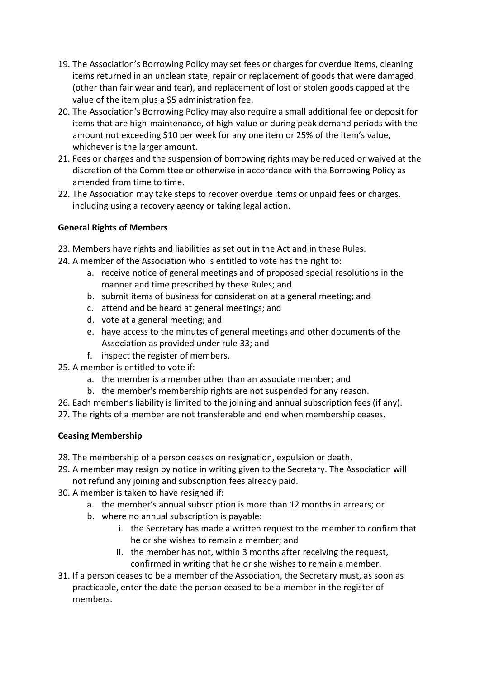- 19. The Association's Borrowing Policy may set fees or charges for overdue items, cleaning items returned in an unclean state, repair or replacement of goods that were damaged (other than fair wear and tear), and replacement of lost or stolen goods capped at the value of the item plus a \$5 administration fee.
- 20. The Association's Borrowing Policy may also require a small additional fee or deposit for items that are high-maintenance, of high-value or during peak demand periods with the amount not exceeding \$10 per week for any one item or 25% of the item's value, whichever is the larger amount.
- 21. Fees or charges and the suspension of borrowing rights may be reduced or waived at the discretion of the Committee or otherwise in accordance with the Borrowing Policy as amended from time to time.
- 22. The Association may take steps to recover overdue items or unpaid fees or charges, including using a recovery agency or taking legal action.

# **General Rights of Members**

- 23. Members have rights and liabilities as set out in the Act and in these Rules.
- 24. A member of the Association who is entitled to vote has the right to:
	- a. receive notice of general meetings and of proposed special resolutions in the manner and time prescribed by these Rules; and
	- b. submit items of business for consideration at a general meeting; and
	- c. attend and be heard at general meetings; and
	- d. vote at a general meeting; and
	- e. have access to the minutes of general meetings and other documents of the Association as provided under rule 33; and
	- f. inspect the register of members.
- 25. A member is entitled to vote if:
	- a. the member is a member other than an associate member; and
	- b. the member's membership rights are not suspended for any reason.
- 26. Each member's liability is limited to the joining and annual subscription fees (if any).
- 27. The rights of a member are not transferable and end when membership ceases.

## **Ceasing Membership**

- 28. The membership of a person ceases on resignation, expulsion or death.
- 29. A member may resign by notice in writing given to the Secretary. The Association will not refund any joining and subscription fees already paid.
- 30. A member is taken to have resigned if:
	- a. the member's annual subscription is more than 12 months in arrears; or
	- b. where no annual subscription is payable:
		- i. the Secretary has made a written request to the member to confirm that he or she wishes to remain a member; and
		- ii. the member has not, within 3 months after receiving the request, confirmed in writing that he or she wishes to remain a member.
- 31. If a person ceases to be a member of the Association, the Secretary must, as soon as practicable, enter the date the person ceased to be a member in the register of members.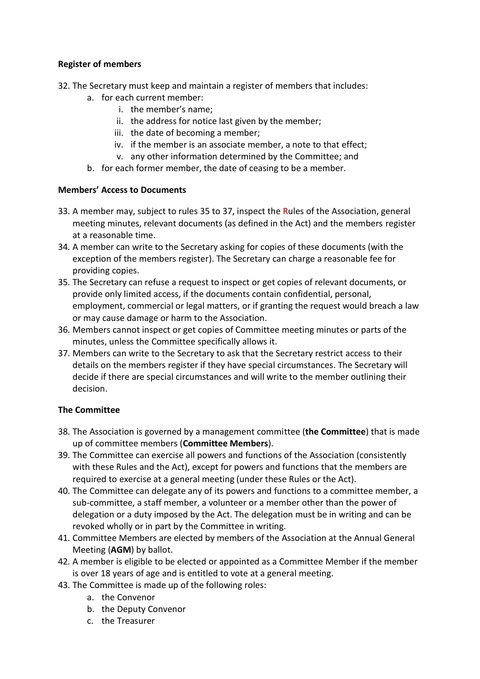# **Register of members**

- 32. The Secretary must keep and maintain a register of members that includes:
	- a. for each current member:
		- i. the member's name;
		- ii. the address for notice last given by the member;
		- iii. the date of becoming a member;
		- iv. if the member is an associate member, a note to that effect;
		- v. any other information determined by the Committee; and
	- b. for each former member, the date of ceasing to be a member.

## **Members' Access to Documents**

- 33. A member may, subject to rules 35 to 37, inspect the Rules of the Association, general meeting minutes, relevant documents (as defined in the Act) and the members register at a reasonable time.
- 34. A member can write to the Secretary asking for copies of these documents (with the exception of the members register). The Secretary can charge a reasonable fee for providing copies.
- 35. The Secretary can refuse a request to inspect or get copies of relevant documents, or provide only limited access, if the documents contain confidential, personal, employment, commercial or legal matters, or if granting the request would breach a law or may cause damage or harm to the Association.
- 36. Members cannot inspect or get copies of Committee meeting minutes or parts of the minutes, unless the Committee specifically allows it.
- 37. Members can write to the Secretary to ask that the Secretary restrict access to their details on the members register if they have special circumstances. The Secretary will decide if there are special circumstances and will write to the member outlining their decision.

# **The Committee**

- 38. The Association is governed by a management committee (**the Committee**) that is made up of committee members (**Committee Members**).
- 39. The Committee can exercise all powers and functions of the Association (consistently with these Rules and the Act), except for powers and functions that the members are required to exercise at a general meeting (under these Rules or the Act).
- 40. The Committee can delegate any of its powers and functions to a committee member, a sub-committee, a staff member, a volunteer or a member other than the power of delegation or a duty imposed by the Act. The delegation must be in writing and can be revoked wholly or in part by the Committee in writing.
- 41. Committee Members are elected by members of the Association at the Annual General Meeting (**AGM**) by ballot.
- 42. A member is eligible to be elected or appointed as a Committee Member if the member is over 18 years of age and is entitled to vote at a general meeting.
- 43. The Committee is made up of the following roles:
	- a. the Convenor
	- b. the Deputy Convenor
	- c. the Treasurer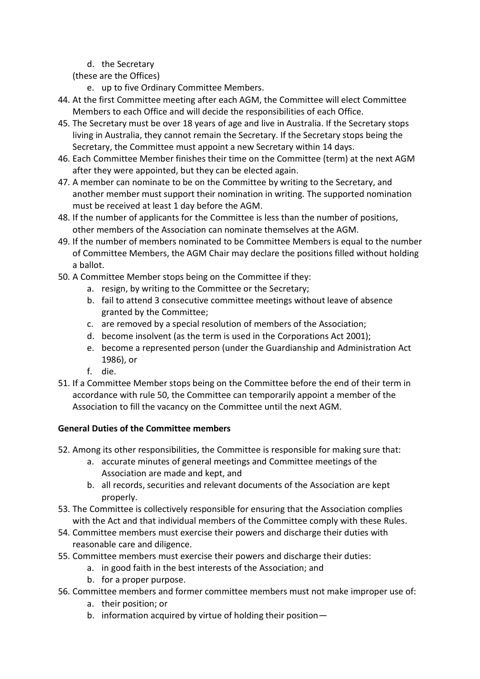d. the Secretary

(these are the Offices)

- e. up to five Ordinary Committee Members.
- 44. At the first Committee meeting after each AGM, the Committee will elect Committee Members to each Office and will decide the responsibilities of each Office.
- 45. The Secretary must be over 18 years of age and live in Australia. If the Secretary stops living in Australia, they cannot remain the Secretary. If the Secretary stops being the Secretary, the Committee must appoint a new Secretary within 14 days.
- 46. Each Committee Member finishes their time on the Committee (term) at the next AGM after they were appointed, but they can be elected again.
- 47. A member can nominate to be on the Committee by writing to the Secretary, and another member must support their nomination in writing. The supported nomination must be received at least 1 day before the AGM.
- 48. If the number of applicants for the Committee is less than the number of positions, other members of the Association can nominate themselves at the AGM.
- 49. If the number of members nominated to be Committee Members is equal to the number of Committee Members, the AGM Chair may declare the positions filled without holding a ballot.
- 50. A Committee Member stops being on the Committee if they:
	- a. resign, by writing to the Committee or the Secretary;
	- b. fail to attend 3 consecutive committee meetings without leave of absence granted by the Committee;
	- c. are removed by a special resolution of members of the Association;
	- d. become insolvent (as the term is used in the Corporations Act 2001);
	- e. become a represented person (under the Guardianship and Administration Act 1986), or
	- f. die.
- 51. If a Committee Member stops being on the Committee before the end of their term in accordance with rule 50, the Committee can temporarily appoint a member of the Association to fill the vacancy on the Committee until the next AGM.

# **General Duties of the Committee members**

- 52. Among its other responsibilities, the Committee is responsible for making sure that:
	- a. accurate minutes of general meetings and Committee meetings of the Association are made and kept, and
	- b. all records, securities and relevant documents of the Association are kept properly.
- 53. The Committee is collectively responsible for ensuring that the Association complies with the Act and that individual members of the Committee comply with these Rules.
- 54. Committee members must exercise their powers and discharge their duties with reasonable care and diligence.
- 55. Committee members must exercise their powers and discharge their duties:
	- a. in good faith in the best interests of the Association; and
	- b. for a proper purpose.
- 56. Committee members and former committee members must not make improper use of:
	- a. their position; or
	- b. information acquired by virtue of holding their position—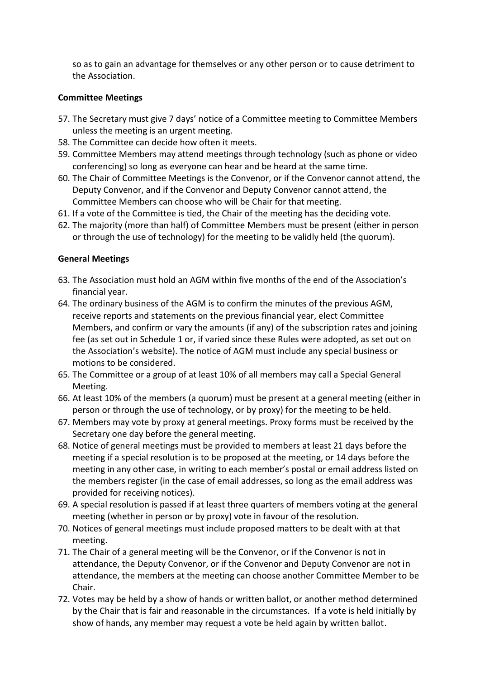so as to gain an advantage for themselves or any other person or to cause detriment to the Association.

## **Committee Meetings**

- 57. The Secretary must give 7 days' notice of a Committee meeting to Committee Members unless the meeting is an urgent meeting.
- 58. The Committee can decide how often it meets.
- 59. Committee Members may attend meetings through technology (such as phone or video conferencing) so long as everyone can hear and be heard at the same time.
- 60. The Chair of Committee Meetings is the Convenor, or if the Convenor cannot attend, the Deputy Convenor, and if the Convenor and Deputy Convenor cannot attend, the Committee Members can choose who will be Chair for that meeting.
- 61. If a vote of the Committee is tied, the Chair of the meeting has the deciding vote.
- 62. The majority (more than half) of Committee Members must be present (either in person or through the use of technology) for the meeting to be validly held (the quorum).

### **General Meetings**

- 63. The Association must hold an AGM within five months of the end of the Association's financial year.
- 64. The ordinary business of the AGM is to confirm the minutes of the previous AGM, receive reports and statements on the previous financial year, elect Committee Members, and confirm or vary the amounts (if any) of the subscription rates and joining fee (as set out in Schedule 1 or, if varied since these Rules were adopted, as set out on the Association's website). The notice of AGM must include any special business or motions to be considered.
- 65. The Committee or a group of at least 10% of all members may call a Special General Meeting.
- 66. At least 10% of the members (a quorum) must be present at a general meeting (either in person or through the use of technology, or by proxy) for the meeting to be held.
- 67. Members may vote by proxy at general meetings. Proxy forms must be received by the Secretary one day before the general meeting.
- 68. Notice of general meetings must be provided to members at least 21 days before the meeting if a special resolution is to be proposed at the meeting, or 14 days before the meeting in any other case, in writing to each member's postal or email address listed on the members register (in the case of email addresses, so long as the email address was provided for receiving notices).
- 69. A special resolution is passed if at least three quarters of members voting at the general meeting (whether in person or by proxy) vote in favour of the resolution.
- 70. Notices of general meetings must include proposed matters to be dealt with at that meeting.
- 71. The Chair of a general meeting will be the Convenor, or if the Convenor is not in attendance, the Deputy Convenor, or if the Convenor and Deputy Convenor are not in attendance, the members at the meeting can choose another Committee Member to be Chair.
- 72. Votes may be held by a show of hands or written ballot, or another method determined by the Chair that is fair and reasonable in the circumstances. If a vote is held initially by show of hands, any member may request a vote be held again by written ballot.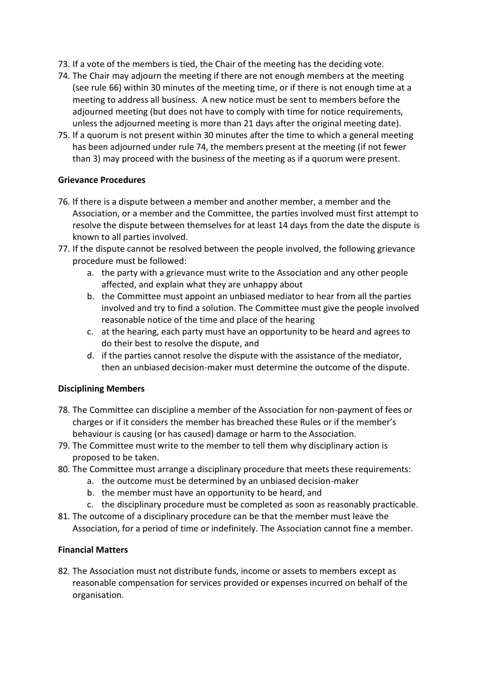- 73. If a vote of the members is tied, the Chair of the meeting has the deciding vote.
- 74. The Chair may adjourn the meeting if there are not enough members at the meeting (see rule 66) within 30 minutes of the meeting time, or if there is not enough time at a meeting to address all business. A new notice must be sent to members before the adjourned meeting (but does not have to comply with time for notice requirements, unless the adjourned meeting is more than 21 days after the original meeting date).
- 75. If a quorum is not present within 30 minutes after the time to which a general meeting has been adjourned under rule 74, the members present at the meeting (if not fewer than 3) may proceed with the business of the meeting as if a quorum were present.

### **Grievance Procedures**

- 76. If there is a dispute between a member and another member, a member and the Association, or a member and the Committee, the parties involved must first attempt to resolve the dispute between themselves for at least 14 days from the date the dispute is known to all parties involved.
- 77. If the dispute cannot be resolved between the people involved, the following grievance procedure must be followed:
	- a. the party with a grievance must write to the Association and any other people affected, and explain what they are unhappy about
	- b. the Committee must appoint an unbiased mediator to hear from all the parties involved and try to find a solution. The Committee must give the people involved reasonable notice of the time and place of the hearing
	- c. at the hearing, each party must have an opportunity to be heard and agrees to do their best to resolve the dispute, and
	- d. if the parties cannot resolve the dispute with the assistance of the mediator, then an unbiased decision-maker must determine the outcome of the dispute.

## **Disciplining Members**

- 78. The Committee can discipline a member of the Association for non-payment of fees or charges or if it considers the member has breached these Rules or if the member's behaviour is causing (or has caused) damage or harm to the Association.
- 79. The Committee must write to the member to tell them why disciplinary action is proposed to be taken.
- 80. The Committee must arrange a disciplinary procedure that meets these requirements:
	- a. the outcome must be determined by an unbiased decision-maker
	- b. the member must have an opportunity to be heard, and
	- c. the disciplinary procedure must be completed as soon as reasonably practicable.
- 81. The outcome of a disciplinary procedure can be that the member must leave the Association, for a period of time or indefinitely. The Association cannot fine a member.

## **Financial Matters**

82. The Association must not distribute funds, income or assets to members except as reasonable compensation for services provided or expenses incurred on behalf of the organisation.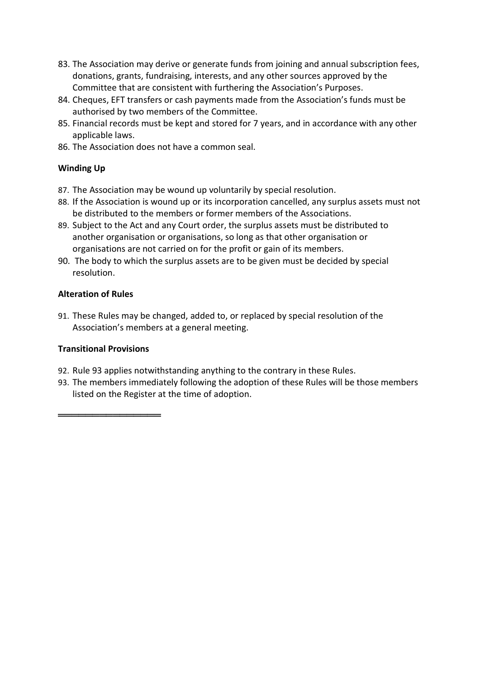- 83. The Association may derive or generate funds from joining and annual subscription fees, donations, grants, fundraising, interests, and any other sources approved by the Committee that are consistent with furthering the Association's Purposes.
- 84. Cheques, EFT transfers or cash payments made from the Association's funds must be authorised by two members of the Committee.
- 85. Financial records must be kept and stored for 7 years, and in accordance with any other applicable laws.
- 86. The Association does not have a common seal.

# **Winding Up**

- 87. The Association may be wound up voluntarily by special resolution.
- 88. If the Association is wound up or its incorporation cancelled, any surplus assets must not be distributed to the members or former members of the Associations.
- 89. Subject to the Act and any Court order, the surplus assets must be distributed to another organisation or organisations, so long as that other organisation or organisations are not carried on for the profit or gain of its members.
- 90. The body to which the surplus assets are to be given must be decided by special resolution.

# **Alteration of Rules**

91. These Rules may be changed, added to, or replaced by special resolution of the Association's members at a general meeting.

## **Transitional Provisions**

═══════════════

- 92. Rule 93 applies notwithstanding anything to the contrary in these Rules.
- 93. The members immediately following the adoption of these Rules will be those members listed on the Register at the time of adoption.